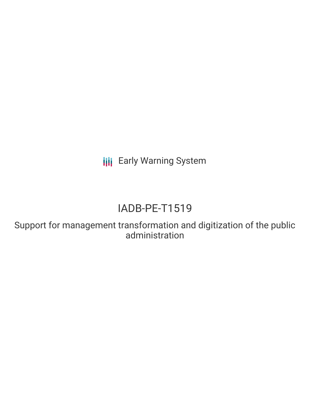**III** Early Warning System

# IADB-PE-T1519

Support for management transformation and digitization of the public administration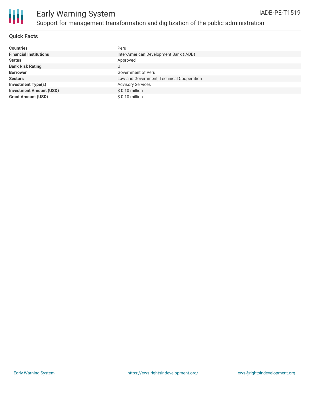

# Early Warning System Support for management transformation and digitization of the public administration

#### **Quick Facts**

| <b>Countries</b>               | Peru                                      |
|--------------------------------|-------------------------------------------|
| <b>Financial Institutions</b>  | Inter-American Development Bank (IADB)    |
| <b>Status</b>                  | Approved                                  |
| <b>Bank Risk Rating</b>        | U                                         |
| <b>Borrower</b>                | Government of Perú                        |
| <b>Sectors</b>                 | Law and Government, Technical Cooperation |
| <b>Investment Type(s)</b>      | <b>Advisory Services</b>                  |
| <b>Investment Amount (USD)</b> | \$0.10 million                            |
| <b>Grant Amount (USD)</b>      | $$0.10$ million                           |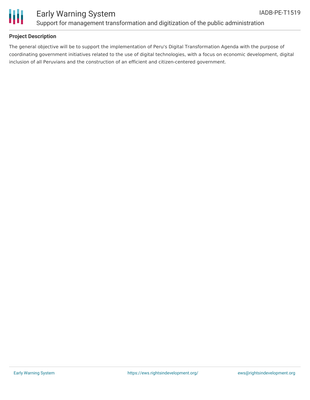

### Early Warning System Support for management transformation and digitization of the public administration

### **Project Description**

The general objective will be to support the implementation of Peru's Digital Transformation Agenda with the purpose of coordinating government initiatives related to the use of digital technologies, with a focus on economic development, digital inclusion of all Peruvians and the construction of an efficient and citizen-centered government.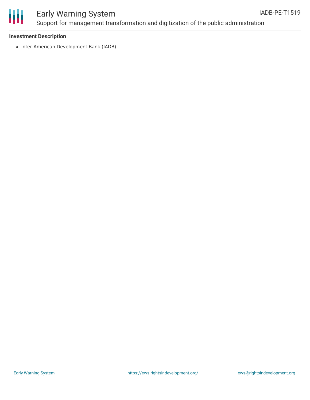

## Early Warning System Support for management transformation and digitization of the public administration

#### **Investment Description**

• Inter-American Development Bank (IADB)